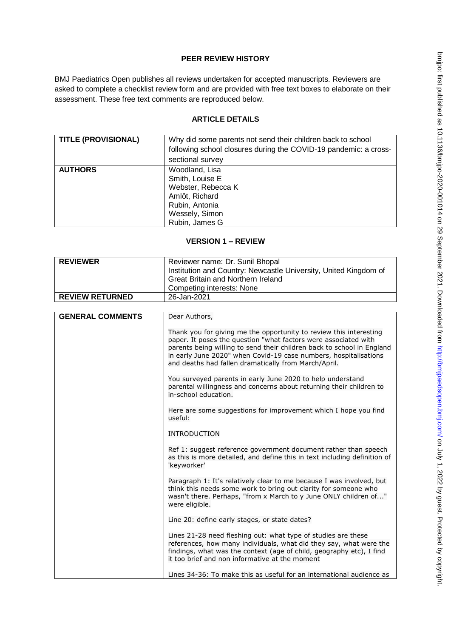# **PEER REVIEW HISTORY**

BMJ Paediatrics Open publishes all reviews undertaken for accepted manuscripts. Reviewers are asked to complete a checklist review form and are provided with free text boxes to elaborate on their assessment. These free text comments are reproduced below.

# **ARTICLE DETAILS**

| <b>TITLE (PROVISIONAL)</b> | Why did some parents not send their children back to school<br>following school closures during the COVID-19 pandemic: a cross-<br>sectional survey |
|----------------------------|-----------------------------------------------------------------------------------------------------------------------------------------------------|
| <b>AUTHORS</b>             | Woodland, Lisa<br>Smith, Louise E<br>Webster, Rebecca K<br>Amlôt, Richard<br>Rubin, Antonia<br>Wessely, Simon<br>Rubin, James G                     |

## **VERSION 1 – REVIEW**

| <b>REVIEWER</b>         | Reviewer name: Dr. Sunil Bhopal                                                                                                                                                                                                                                                                                                             |
|-------------------------|---------------------------------------------------------------------------------------------------------------------------------------------------------------------------------------------------------------------------------------------------------------------------------------------------------------------------------------------|
|                         | Institution and Country: Newcastle University, United Kingdom of                                                                                                                                                                                                                                                                            |
|                         | <b>Great Britain and Northern Ireland</b>                                                                                                                                                                                                                                                                                                   |
|                         | Competing interests: None                                                                                                                                                                                                                                                                                                                   |
| <b>REVIEW RETURNED</b>  | 26-Jan-2021                                                                                                                                                                                                                                                                                                                                 |
|                         |                                                                                                                                                                                                                                                                                                                                             |
| <b>GENERAL COMMENTS</b> | Dear Authors,                                                                                                                                                                                                                                                                                                                               |
|                         | Thank you for giving me the opportunity to review this interesting<br>paper. It poses the question "what factors were associated with<br>parents being willing to send their children back to school in England<br>in early June 2020" when Covid-19 case numbers, hospitalisations<br>and deaths had fallen dramatically from March/April. |
|                         |                                                                                                                                                                                                                                                                                                                                             |
|                         | You surveyed parents in early June 2020 to help understand<br>parental willingness and concerns about returning their children to<br>in-school education.                                                                                                                                                                                   |
|                         | Here are some suggestions for improvement which I hope you find<br>useful:                                                                                                                                                                                                                                                                  |
|                         | <b>INTRODUCTION</b>                                                                                                                                                                                                                                                                                                                         |
|                         | Ref 1: suggest reference government document rather than speech<br>as this is more detailed, and define this in text including definition of<br>'keyworker'                                                                                                                                                                                 |
|                         | Paragraph 1: It's relatively clear to me because I was involved, but<br>think this needs some work to bring out clarity for someone who<br>wasn't there. Perhaps, "from x March to y June ONLY children of"<br>were eligible.                                                                                                               |
|                         | Line 20: define early stages, or state dates?                                                                                                                                                                                                                                                                                               |
|                         | Lines 21-28 need fleshing out: what type of studies are these<br>references, how many individuals, what did they say, what were the<br>findings, what was the context (age of child, geography etc), I find<br>it too brief and non informative at the moment                                                                               |
|                         | Lines 34-36: To make this as useful for an international audience as                                                                                                                                                                                                                                                                        |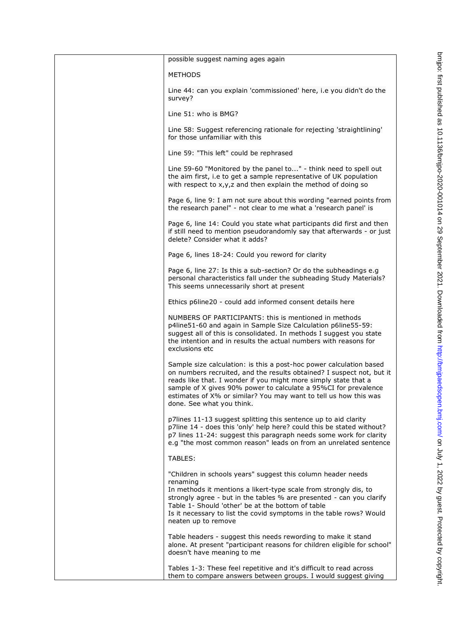| possible suggest naming ages again                                                                                                                                                                                                                                                                                                                                                  |
|-------------------------------------------------------------------------------------------------------------------------------------------------------------------------------------------------------------------------------------------------------------------------------------------------------------------------------------------------------------------------------------|
| <b>METHODS</b>                                                                                                                                                                                                                                                                                                                                                                      |
| Line 44: can you explain 'commissioned' here, i.e you didn't do the<br>survey?                                                                                                                                                                                                                                                                                                      |
| Line 51: who is BMG?                                                                                                                                                                                                                                                                                                                                                                |
| Line 58: Suggest referencing rationale for rejecting 'straightlining'<br>for those unfamiliar with this                                                                                                                                                                                                                                                                             |
| Line 59: "This left" could be rephrased                                                                                                                                                                                                                                                                                                                                             |
| Line 59-60 "Monitored by the panel to" - think need to spell out<br>the aim first, i.e to get a sample representative of UK population<br>with respect to x, y, z and then explain the method of doing so                                                                                                                                                                           |
| Page 6, line 9: I am not sure about this wording "earned points from<br>the research panel" - not clear to me what a 'research panel' is                                                                                                                                                                                                                                            |
| Page 6, line 14: Could you state what participants did first and then<br>if still need to mention pseudorandomly say that afterwards - or just<br>delete? Consider what it adds?                                                                                                                                                                                                    |
| Page 6, lines 18-24: Could you reword for clarity                                                                                                                                                                                                                                                                                                                                   |
| Page 6, line 27: Is this a sub-section? Or do the subheadings e.g<br>personal characteristics fall under the subheading Study Materials?<br>This seems unnecessarily short at present                                                                                                                                                                                               |
| Ethics p6line20 - could add informed consent details here                                                                                                                                                                                                                                                                                                                           |
| NUMBERS OF PARTICIPANTS: this is mentioned in methods<br>p4line51-60 and again in Sample Size Calculation p6line55-59:<br>suggest all of this is consolidated. In methods I suggest you state<br>the intention and in results the actual numbers with reasons for<br>exclusions etc                                                                                                 |
| Sample size calculation: is this a post-hoc power calculation based<br>on numbers recruited, and the results obtained? I suspect not, but it<br>reads like that. I wonder if you might more simply state that a<br>sample of X gives 90% power to calculate a 95%CI for prevalence<br>estimates of X% or similar? You may want to tell us how this was<br>done. See what you think. |
| p7lines 11-13 suggest splitting this sentence up to aid clarity<br>p7line 14 - does this 'only' help here? could this be stated without?<br>p7 lines 11-24: suggest this paragraph needs some work for clarity<br>e.g "the most common reason" leads on from an unrelated sentence                                                                                                  |
| TABLES:                                                                                                                                                                                                                                                                                                                                                                             |
| "Children in schools years" suggest this column header needs<br>renaming<br>In methods it mentions a likert-type scale from strongly dis, to<br>strongly agree - but in the tables % are presented - can you clarify<br>Table 1- Should 'other' be at the bottom of table<br>Is it necessary to list the covid symptoms in the table rows? Would                                    |
| neaten up to remove                                                                                                                                                                                                                                                                                                                                                                 |
| Table headers - suggest this needs rewording to make it stand<br>alone. At present "participant reasons for children eligible for school"<br>doesn't have meaning to me                                                                                                                                                                                                             |
| Tables 1-3: These feel repetitive and it's difficult to read across<br>them to compare answers between groups. I would suggest giving                                                                                                                                                                                                                                               |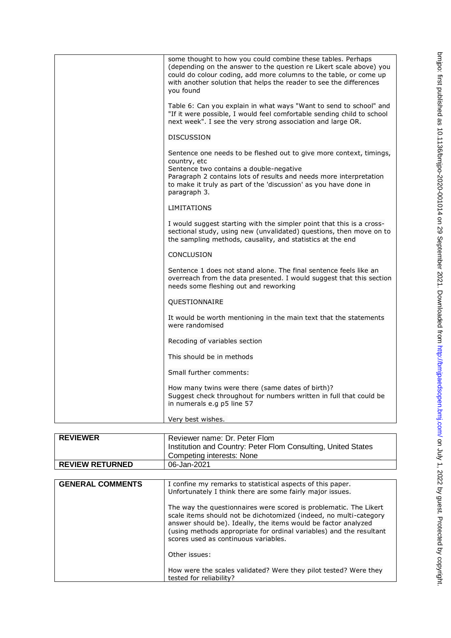| some thought to how you could combine these tables. Perhaps<br>(depending on the answer to the question re Likert scale above) you<br>could do colour coding, add more columns to the table, or come up<br>with another solution that helps the reader to see the differences<br>you found |
|--------------------------------------------------------------------------------------------------------------------------------------------------------------------------------------------------------------------------------------------------------------------------------------------|
| Table 6: Can you explain in what ways "Want to send to school" and<br>"If it were possible, I would feel comfortable sending child to school<br>next week". I see the very strong association and large OR.                                                                                |
| DISCUSSION                                                                                                                                                                                                                                                                                 |
| Sentence one needs to be fleshed out to give more context, timings,<br>country, etc<br>Sentence two contains a double-negative<br>Paragraph 2 contains lots of results and needs more interpretation<br>to make it truly as part of the 'discussion' as you have done in<br>paragraph 3.   |
| <b>LIMITATIONS</b>                                                                                                                                                                                                                                                                         |
| I would suggest starting with the simpler point that this is a cross-<br>sectional study, using new (unvalidated) questions, then move on to<br>the sampling methods, causality, and statistics at the end                                                                                 |
| <b>CONCLUSION</b>                                                                                                                                                                                                                                                                          |
| Sentence 1 does not stand alone. The final sentence feels like an<br>overreach from the data presented. I would suggest that this section<br>needs some fleshing out and reworking                                                                                                         |
| QUESTIONNAIRE                                                                                                                                                                                                                                                                              |
| It would be worth mentioning in the main text that the statements<br>were randomised                                                                                                                                                                                                       |
| Recoding of variables section                                                                                                                                                                                                                                                              |
| This should be in methods                                                                                                                                                                                                                                                                  |
| Small further comments:                                                                                                                                                                                                                                                                    |
| How many twins were there (same dates of birth)?<br>Suggest check throughout for numbers written in full that could be<br>in numerals e.g p5 line 57                                                                                                                                       |
| Very best wishes.                                                                                                                                                                                                                                                                          |

| <b>REVIEWER</b>        | Reviewer name: Dr. Peter Flom<br>Institution and Country: Peter Flom Consulting, United States<br>Competing interests: None |
|------------------------|-----------------------------------------------------------------------------------------------------------------------------|
| <b>REVIEW RETURNED</b> | 06-Jan-2021                                                                                                                 |

| <b>GENERAL COMMENTS</b> | I confine my remarks to statistical aspects of this paper.<br>Unfortunately I think there are some fairly major issues.                                                                                                                                                                                                 |
|-------------------------|-------------------------------------------------------------------------------------------------------------------------------------------------------------------------------------------------------------------------------------------------------------------------------------------------------------------------|
|                         | The way the questionnaires were scored is problematic. The Likert<br>scale items should not be dichotomized (indeed, no multi-category<br>answer should be). Ideally, the items would be factor analyzed<br>(using methods appropriate for ordinal variables) and the resultant<br>scores used as continuous variables. |
|                         | Other issues:                                                                                                                                                                                                                                                                                                           |
|                         | How were the scales validated? Were they pilot tested? Were they<br>tested for reliability?                                                                                                                                                                                                                             |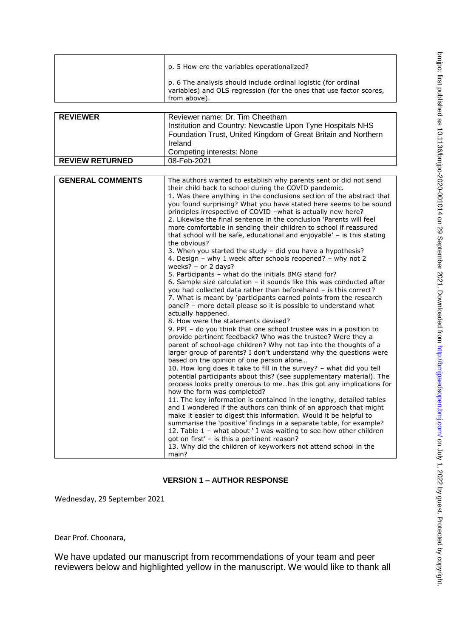|                         | p. 5 How ere the variables operationalized?                                                                                           |
|-------------------------|---------------------------------------------------------------------------------------------------------------------------------------|
|                         |                                                                                                                                       |
|                         | p. 6 The analysis should include ordinal logistic (for ordinal<br>variables) and OLS regression (for the ones that use factor scores, |
|                         | from above).                                                                                                                          |
|                         |                                                                                                                                       |
| <b>REVIEWER</b>         | Reviewer name: Dr. Tim Cheetham                                                                                                       |
|                         | Institution and Country: Newcastle Upon Tyne Hospitals NHS                                                                            |
|                         | Foundation Trust, United Kingdom of Great Britain and Northern                                                                        |
|                         | Ireland                                                                                                                               |
|                         | Competing interests: None                                                                                                             |
| <b>REVIEW RETURNED</b>  | 08-Feb-2021                                                                                                                           |
|                         |                                                                                                                                       |
| <b>GENERAL COMMENTS</b> | The authors wanted to establish why parents sent or did not send                                                                      |
|                         | their child back to school during the COVID pandemic.                                                                                 |
|                         | 1. Was there anything in the conclusions section of the abstract that                                                                 |
|                         | you found surprising? What you have stated here seems to be sound<br>principles irrespective of COVID -what is actually new here?     |
|                         | 2. Likewise the final sentence in the conclusion 'Parents will feel                                                                   |
|                         | more comfortable in sending their children to school if reassured                                                                     |
|                         | that school will be safe, educational and enjoyable' - is this stating                                                                |
|                         | the obvious?                                                                                                                          |
|                         | 3. When you started the study - did you have a hypothesis?                                                                            |
|                         | 4. Design - why 1 week after schools reopened? - why not 2                                                                            |
|                         | weeks? - or 2 days?<br>5. Participants - what do the initials BMG stand for?                                                          |
|                         | 6. Sample size calculation $-$ it sounds like this was conducted after                                                                |
|                         | you had collected data rather than beforehand - is this correct?                                                                      |
|                         | 7. What is meant by 'participants earned points from the research                                                                     |
|                         | panel? - more detail please so it is possible to understand what                                                                      |
|                         | actually happened.                                                                                                                    |
|                         | 8. How were the statements devised?<br>9. PPI - do you think that one school trustee was in a position to                             |
|                         | provide pertinent feedback? Who was the trustee? Were they a                                                                          |
|                         | parent of school-age children? Why not tap into the thoughts of a                                                                     |
|                         | larger group of parents? I don't understand why the questions were                                                                    |
|                         | based on the opinion of one person alone                                                                                              |
|                         | 10. How long does it take to fill in the survey? - what did you tell                                                                  |
|                         | potential participants about this? (see supplementary material). The                                                                  |
|                         | process looks pretty onerous to mehas this got any implications for<br>how the form was completed?                                    |
|                         | 11. The key information is contained in the lengthy, detailed tables                                                                  |
|                         | and I wondered if the authors can think of an approach that might                                                                     |
|                         | make it easier to digest this information. Would it be helpful to                                                                     |
|                         | summarise the 'positive' findings in a separate table, for example?                                                                   |
|                         | 12. Table 1 - what about ' I was waiting to see how other children                                                                    |
|                         | got on first' - is this a pertinent reason?                                                                                           |
|                         | 13. Why did the children of keyworkers not attend school in the                                                                       |
|                         | main?                                                                                                                                 |

# **VERSION 1 – AUTHOR RESPONSE**

Wednesday, 29 September 2021

Dear Prof. Choonara,

We have updated our manuscript from recommendations of your team and peer reviewers below and highlighted yellow in the manuscript. We would like to thank all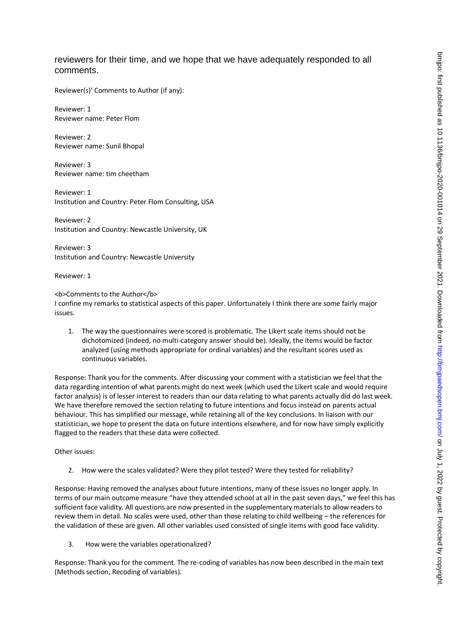# reviewers for their time, and we hope that we have adequately responded to all comments.

Reviewer(s)' Comments to Author (if any):

Reviewer: 1 Reviewer name: Peter Flom

Reviewer: 2 Reviewer name: Sunil Bhopal

Reviewer: 3 Reviewer name: tim cheetham

Reviewer: 1 Institution and Country: Peter Flom Consulting, USA

Reviewer: 2 Institution and Country: Newcastle University, UK

Reviewer: 3 Institution and Country: Newcastle University

Reviewer: 1

<b>Comments to the Author</b> I confine my remarks to statistical aspects of this paper. Unfortunately I think there are some fairly major issues.

1. The way the questionnaires were scored is problematic. The Likert scale items should not be dichotomized (indeed, no multi-category answer should be). Ideally, the items would be factor analyzed (using methods appropriate for ordinal variables) and the resultant scores used as continuous variables.

Response: Thank you for the comments. After discussing your comment with a statistician we feel that the data regarding intention of what parents might do next week (which used the Likert scale and would require factor analysis) is of lesser interest to readers than our data relating to what parents actually did do last week. We have therefore removed the section relating to future intentions and focus instead on parents actual behaviour. This has simplified our message, while retaining all of the key conclusions. In liaison with our statistician, we hope to present the data on future intentions elsewhere, and for now have simply explicitly flagged to the readers that these data were collected.

Other issues:

2. How were the scales validated? Were they pilot tested? Were they tested for reliability?

Response: Having removed the analyses about future intentions, many of these issues no longer apply. In terms of our main outcome measure "have they attended school at all in the past seven days," we feel this has sufficient face validity. All questions are now presented in the supplementary materials to allow readers to review them in detail. No scales were used, other than those relating to child wellbeing – the references for the validation of these are given. All other variables used consisted of single items with good face validity.

3. How were the variables operationalized?

Response: Thank you for the comment. The re-coding of variables has now been described in the main text (Methods section, Recoding of variables).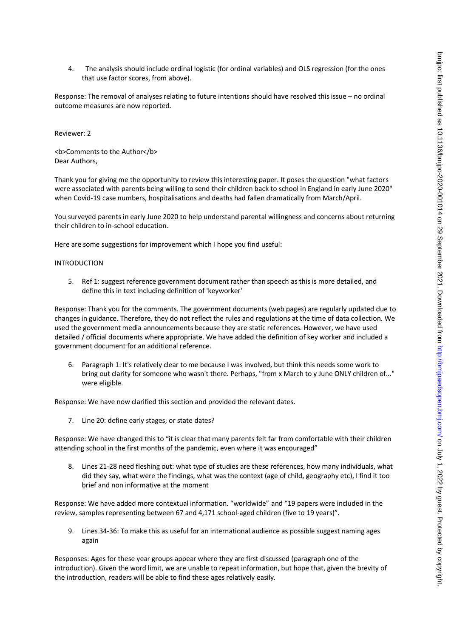4. The analysis should include ordinal logistic (for ordinal variables) and OLS regression (for the ones that use factor scores, from above).

Response: The removal of analyses relating to future intentions should have resolved this issue – no ordinal outcome measures are now reported.

Reviewer: 2

<b>Comments to the Author</b> Dear Authors,

Thank you for giving me the opportunity to review this interesting paper. It poses the question "what factors were associated with parents being willing to send their children back to school in England in early June 2020" when Covid-19 case numbers, hospitalisations and deaths had fallen dramatically from March/April.

You surveyed parents in early June 2020 to help understand parental willingness and concerns about returning their children to in-school education.

Here are some suggestions for improvement which I hope you find useful:

#### INTRODUCTION

5. Ref 1: suggest reference government document rather than speech as this is more detailed, and define this in text including definition of 'keyworker'

Response: Thank you for the comments. The government documents (web pages) are regularly updated due to changes in guidance. Therefore, they do not reflect the rules and regulations at the time of data collection. We used the government media announcements because they are static references. However, we have used detailed / official documents where appropriate. We have added the definition of key worker and included a government document for an additional reference.

6. Paragraph 1: It's relatively clear to me because I was involved, but think this needs some work to bring out clarity for someone who wasn't there. Perhaps, "from x March to y June ONLY children of..." were eligible.

Response: We have now clarified this section and provided the relevant dates.

7. Line 20: define early stages, or state dates?

Response: We have changed this to "it is clear that many parents felt far from comfortable with their children attending school in the first months of the pandemic, even where it was encouraged"

8. Lines 21-28 need fleshing out: what type of studies are these references, how many individuals, what did they say, what were the findings, what was the context (age of child, geography etc), I find it too brief and non informative at the moment

Response: We have added more contextual information. "worldwide" and "19 papers were included in the review, samples representing between 67 and 4,171 school-aged children (five to 19 years)".

9. Lines 34-36: To make this as useful for an international audience as possible suggest naming ages again

Responses: Ages for these year groups appear where they are first discussed (paragraph one of the introduction). Given the word limit, we are unable to repeat information, but hope that, given the brevity of the introduction, readers will be able to find these ages relatively easily.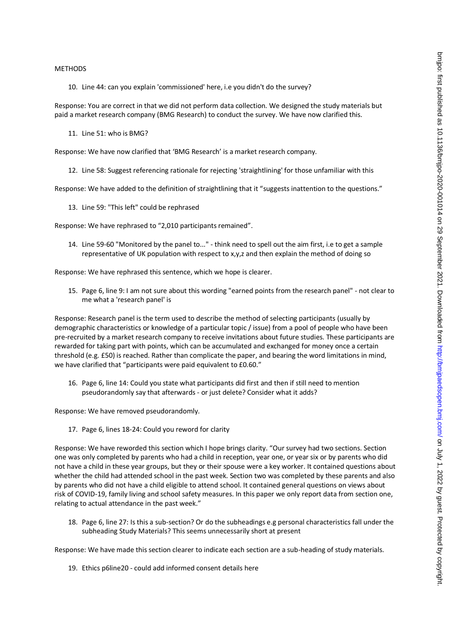#### METHODS

10. Line 44: can you explain 'commissioned' here, i.e you didn't do the survey?

Response: You are correct in that we did not perform data collection. We designed the study materials but paid a market research company (BMG Research) to conduct the survey. We have now clarified this.

11. Line 51: who is BMG?

Response: We have now clarified that 'BMG Research' is a market research company.

12. Line 58: Suggest referencing rationale for rejecting 'straightlining' for those unfamiliar with this

Response: We have added to the definition of straightlining that it "suggests inattention to the questions."

13. Line 59: "This left" could be rephrased

Response: We have rephrased to "2,010 participants remained".

14. Line 59-60 "Monitored by the panel to..." - think need to spell out the aim first, i.e to get a sample representative of UK population with respect to x,y,z and then explain the method of doing so

Response: We have rephrased this sentence, which we hope is clearer.

15. Page 6, line 9: I am not sure about this wording "earned points from the research panel" - not clear to me what a 'research panel' is

Response: Research panel is the term used to describe the method of selecting participants (usually by demographic characteristics or knowledge of a particular topic / issue) from a pool of people who have been pre-recruited by a market research company to receive invitations about future studies. These participants are rewarded for taking part with points, which can be accumulated and exchanged for money once a certain threshold (e.g. £50) is reached. Rather than complicate the paper, and bearing the word limitations in mind, we have clarified that "participants were paid equivalent to £0.60."

16. Page 6, line 14: Could you state what participants did first and then if still need to mention pseudorandomly say that afterwards - or just delete? Consider what it adds?

Response: We have removed pseudorandomly.

17. Page 6, lines 18-24: Could you reword for clarity

Response: We have reworded this section which I hope brings clarity. "Our survey had two sections. Section one was only completed by parents who had a child in reception, year one, or year six or by parents who did not have a child in these year groups, but they or their spouse were a key worker. It contained questions about whether the child had attended school in the past week. Section two was completed by these parents and also by parents who did not have a child eligible to attend school. It contained general questions on views about risk of COVID-19, family living and school safety measures. In this paper we only report data from section one, relating to actual attendance in the past week."

18. Page 6, line 27: Is this a sub-section? Or do the subheadings e.g personal characteristics fall under the subheading Study Materials? This seems unnecessarily short at present

Response: We have made this section clearer to indicate each section are a sub-heading of study materials.

19. Ethics p6line20 - could add informed consent details here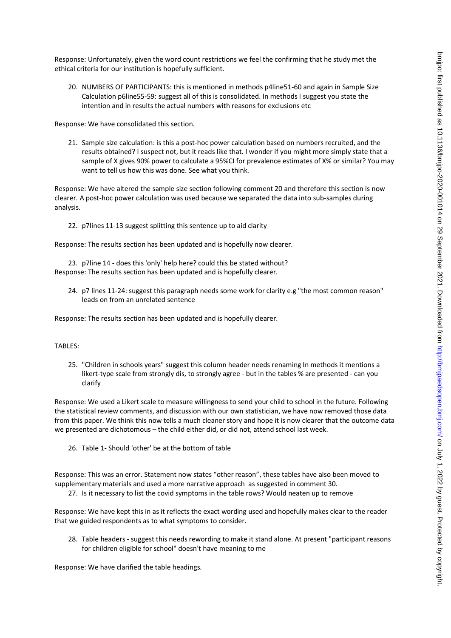Response: Unfortunately, given the word count restrictions we feel the confirming that he study met the ethical criteria for our institution is hopefully sufficient.

20. NUMBERS OF PARTICIPANTS: this is mentioned in methods p4line51-60 and again in Sample Size Calculation p6line55-59: suggest all of this is consolidated. In methods I suggest you state the intention and in results the actual numbers with reasons for exclusions etc

Response: We have consolidated this section.

21. Sample size calculation: is this a post-hoc power calculation based on numbers recruited, and the results obtained? I suspect not, but it reads like that. I wonder if you might more simply state that a sample of X gives 90% power to calculate a 95%CI for prevalence estimates of X% or similar? You may want to tell us how this was done. See what you think.

Response: We have altered the sample size section following comment 20 and therefore this section is now clearer. A post-hoc power calculation was used because we separated the data into sub-samples during analysis.

22. p7lines 11-13 suggest splitting this sentence up to aid clarity

Response: The results section has been updated and is hopefully now clearer.

23. p7line 14 - does this 'only' help here? could this be stated without? Response: The results section has been updated and is hopefully clearer.

24. p7 lines 11-24: suggest this paragraph needs some work for clarity e.g "the most common reason" leads on from an unrelated sentence

Response: The results section has been updated and is hopefully clearer.

### TABLES:

25. "Children in schools years" suggest this column header needs renaming In methods it mentions a likert-type scale from strongly dis, to strongly agree - but in the tables % are presented - can you clarify

Response: We used a Likert scale to measure willingness to send your child to school in the future. Following the statistical review comments, and discussion with our own statistician, we have now removed those data from this paper. We think this now tells a much cleaner story and hope it is now clearer that the outcome data we presented are dichotomous – the child either did, or did not, attend school last week.

26. Table 1- Should 'other' be at the bottom of table

Response: This was an error. Statement now states "other reason", these tables have also been moved to supplementary materials and used a more narrative approach as suggested in comment 30.

27. Is it necessary to list the covid symptoms in the table rows? Would neaten up to remove

Response: We have kept this in as it reflects the exact wording used and hopefully makes clear to the reader that we guided respondents as to what symptoms to consider.

28. Table headers - suggest this needs rewording to make it stand alone. At present "participant reasons for children eligible for school" doesn't have meaning to me

Response: We have clarified the table headings.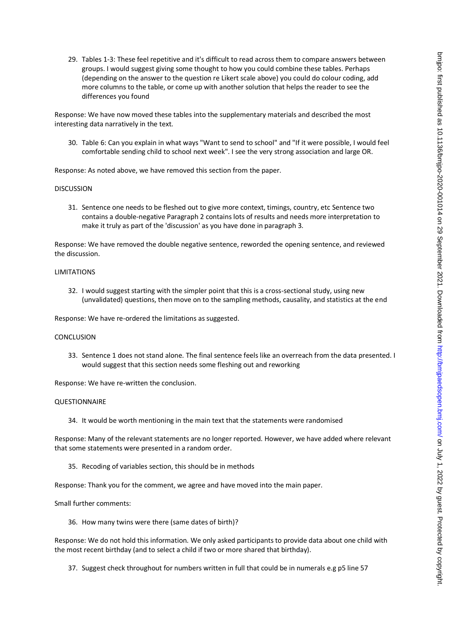29. Tables 1-3: These feel repetitive and it's difficult to read across them to compare answers between groups. I would suggest giving some thought to how you could combine these tables. Perhaps (depending on the answer to the question re Likert scale above) you could do colour coding, add more columns to the table, or come up with another solution that helps the reader to see the differences you found

Response: We have now moved these tables into the supplementary materials and described the most interesting data narratively in the text.

30. Table 6: Can you explain in what ways "Want to send to school" and "If it were possible, I would feel comfortable sending child to school next week". I see the very strong association and large OR.

Response: As noted above, we have removed this section from the paper.

#### DISCUSSION

31. Sentence one needs to be fleshed out to give more context, timings, country, etc Sentence two contains a double-negative Paragraph 2 contains lots of results and needs more interpretation to make it truly as part of the 'discussion' as you have done in paragraph 3.

Response: We have removed the double negative sentence, reworded the opening sentence, and reviewed the discussion.

### LIMITATIONS

32. I would suggest starting with the simpler point that this is a cross-sectional study, using new (unvalidated) questions, then move on to the sampling methods, causality, and statistics at the end

Response: We have re-ordered the limitations as suggested.

#### **CONCLUSION**

33. Sentence 1 does not stand alone. The final sentence feels like an overreach from the data presented. I would suggest that this section needs some fleshing out and reworking

Response: We have re-written the conclusion.

#### QUESTIONNAIRE

34. It would be worth mentioning in the main text that the statements were randomised

Response: Many of the relevant statements are no longer reported. However, we have added where relevant that some statements were presented in a random order.

35. Recoding of variables section, this should be in methods

Response: Thank you for the comment, we agree and have moved into the main paper.

Small further comments:

36. How many twins were there (same dates of birth)?

Response: We do not hold this information. We only asked participants to provide data about one child with the most recent birthday (and to select a child if two or more shared that birthday).

37. Suggest check throughout for numbers written in full that could be in numerals e.g p5 line 57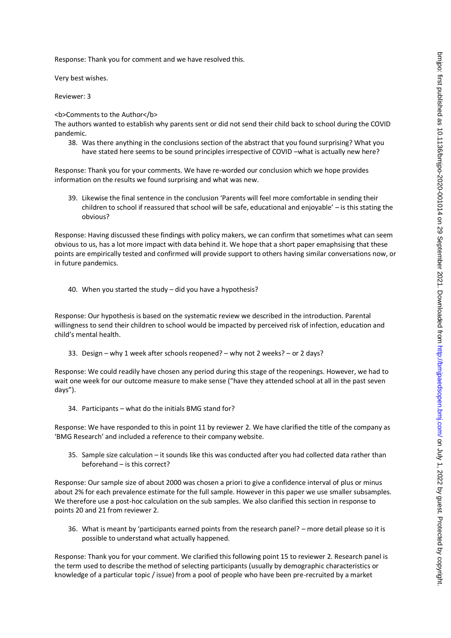Response: Thank you for comment and we have resolved this.

Very best wishes.

Reviewer: 3

<b>Comments to the Author</b>

The authors wanted to establish why parents sent or did not send their child back to school during the COVID pandemic.

38. Was there anything in the conclusions section of the abstract that you found surprising? What you have stated here seems to be sound principles irrespective of COVID –what is actually new here?

Response: Thank you for your comments. We have re-worded our conclusion which we hope provides information on the results we found surprising and what was new.

39. Likewise the final sentence in the conclusion 'Parents will feel more comfortable in sending their children to school if reassured that school will be safe, educational and enjoyable' – is this stating the obvious?

Response: Having discussed these findings with policy makers, we can confirm that sometimes what can seem obvious to us, has a lot more impact with data behind it. We hope that a short paper emaphsising that these points are empirically tested and confirmed will provide support to others having similar conversations now, or in future pandemics.

40. When you started the study – did you have a hypothesis?

Response: Our hypothesis is based on the systematic review we described in the introduction. Parental willingness to send their children to school would be impacted by perceived risk of infection, education and child's mental health.

33. Design – why 1 week after schools reopened? – why not 2 weeks? – or 2 days?

Response: We could readily have chosen any period during this stage of the reopenings. However, we had to wait one week for our outcome measure to make sense ("have they attended school at all in the past seven days").

34. Participants – what do the initials BMG stand for?

Response: We have responded to this in point 11 by reviewer 2. We have clarified the title of the company as 'BMG Research' and included a reference to their company website.

35. Sample size calculation – it sounds like this was conducted after you had collected data rather than beforehand – is this correct?

Response: Our sample size of about 2000 was chosen a priori to give a confidence interval of plus or minus about 2% for each prevalence estimate for the full sample. However in this paper we use smaller subsamples. We therefore use a post-hoc calculation on the sub samples. We also clarified this section in response to points 20 and 21 from reviewer 2.

36. What is meant by 'participants earned points from the research panel? – more detail please so it is possible to understand what actually happened.

Response: Thank you for your comment. We clarified this following point 15 to reviewer 2. Research panel is the term used to describe the method of selecting participants (usually by demographic characteristics or knowledge of a particular topic / issue) from a pool of people who have been pre-recruited by a market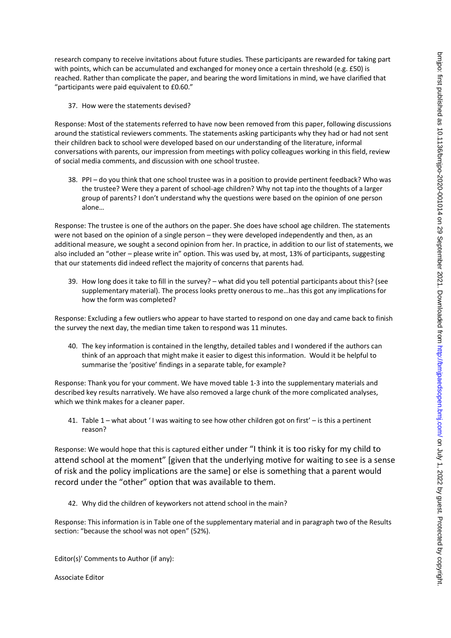research company to receive invitations about future studies. These participants are rewarded for taking part with points, which can be accumulated and exchanged for money once a certain threshold (e.g. £50) is reached. Rather than complicate the paper, and bearing the word limitations in mind, we have clarified that "participants were paid equivalent to £0.60."

37. How were the statements devised?

Response: Most of the statements referred to have now been removed from this paper, following discussions around the statistical reviewers comments. The statements asking participants why they had or had not sent their children back to school were developed based on our understanding of the literature, informal conversations with parents, our impression from meetings with policy colleagues working in this field, review of social media comments, and discussion with one school trustee.

38. PPI – do you think that one school trustee was in a position to provide pertinent feedback? Who was the trustee? Were they a parent of school-age children? Why not tap into the thoughts of a larger group of parents? I don't understand why the questions were based on the opinion of one person alone…

Response: The trustee is one of the authors on the paper. She does have school age children. The statements were not based on the opinion of a single person – they were developed independently and then, as an additional measure, we sought a second opinion from her. In practice, in addition to our list of statements, we also included an "other – please write in" option. This was used by, at most, 13% of participants, suggesting that our statements did indeed reflect the majority of concerns that parents had.

39. How long does it take to fill in the survey? – what did you tell potential participants about this? (see supplementary material). The process looks pretty onerous to me…has this got any implications for how the form was completed?

Response: Excluding a few outliers who appear to have started to respond on one day and came back to finish the survey the next day, the median time taken to respond was 11 minutes.

40. The key information is contained in the lengthy, detailed tables and I wondered if the authors can think of an approach that might make it easier to digest this information. Would it be helpful to summarise the 'positive' findings in a separate table, for example?

Response: Thank you for your comment. We have moved table 1-3 into the supplementary materials and described key results narratively. We have also removed a large chunk of the more complicated analyses, which we think makes for a cleaner paper.

41. Table 1 – what about ' I was waiting to see how other children got on first' – is this a pertinent reason?

Response: We would hope that this is captured either under "I think it is too risky for my child to attend school at the moment" [given that the underlying motive for waiting to see is a sense of risk and the policy implications are the same] or else is something that a parent would record under the "other" option that was available to them.

42. Why did the children of keyworkers not attend school in the main?

Response: This information is in Table one of the supplementary material and in paragraph two of the Results section: "because the school was not open" (52%).

Editor(s)' Comments to Author (if any):

Associate Editor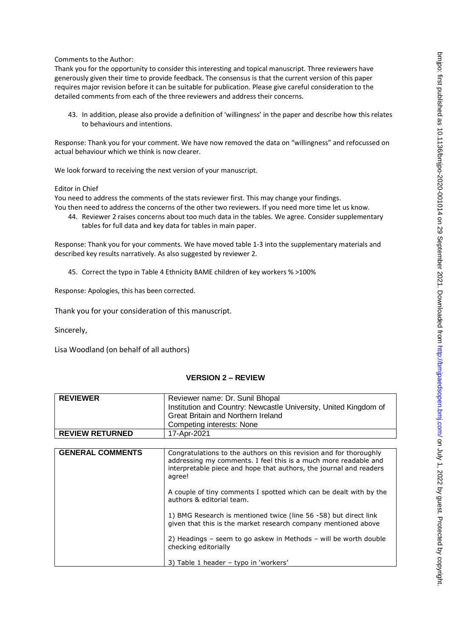Comments to the Author:

Thank you for the opportunity to consider this interesting and topical manuscript. Three reviewers have generously given their time to provide feedback. The consensus is that the current version of this paper requires major revision before it can be suitable for publication. Please give careful consideration to the detailed comments from each of the three reviewers and address their concerns.

43. In addition, please also provide a definition of 'willingness' in the paper and describe how this relates to behaviours and intentions.

Response: Thank you for your comment. We have now removed the data on "willingness" and refocussed on actual behaviour which we think is now clearer.

We look forward to receiving the next version of your manuscript.

Editor in Chief

You need to address the comments of the stats reviewer first. This may change your findings. You then need to address the concerns of the other two reviewers. If you need more time let us know.

44. Reviewer 2 raises concerns about too much data in the tables. We agree. Consider supplementary tables for full data and key data for tables in main paper.

Response: Thank you for your comments. We have moved table 1-3 into the supplementary materials and described key results narratively. As also suggested by reviewer 2.

45. Correct the typo in Table 4 Ethnicity BAME children of key workers % >100%

Response: Apologies, this has been corrected.

Thank you for your consideration of this manuscript.

Sincerely,

Lisa Woodland (on behalf of all authors)

## **VERSION 2 – REVIEW**

| <b>REVIEWER</b>         | Reviewer name: Dr. Sunil Bhopal<br>Institution and Country: Newcastle University, United Kingdom of<br>Great Britain and Northern Ireland                                                                                                                                                                                |
|-------------------------|--------------------------------------------------------------------------------------------------------------------------------------------------------------------------------------------------------------------------------------------------------------------------------------------------------------------------|
|                         | Competing interests: None                                                                                                                                                                                                                                                                                                |
| <b>REVIEW RETURNED</b>  | 17-Apr-2021                                                                                                                                                                                                                                                                                                              |
|                         |                                                                                                                                                                                                                                                                                                                          |
| <b>GENERAL COMMENTS</b> | Congratulations to the authors on this revision and for thoroughly<br>addressing my comments. I feel this is a much more readable and<br>interpretable piece and hope that authors, the journal and readers<br>agree!<br>A couple of tiny comments I spotted which can be dealt with by the<br>authors & editorial team. |
|                         | 1) BMG Research is mentioned twice (line 56 -58) but direct link<br>given that this is the market research company mentioned above                                                                                                                                                                                       |
|                         | 2) Headings - seem to go askew in Methods - will be worth double<br>checking editorially                                                                                                                                                                                                                                 |
|                         | 3) Table 1 header - typo in 'workers'                                                                                                                                                                                                                                                                                    |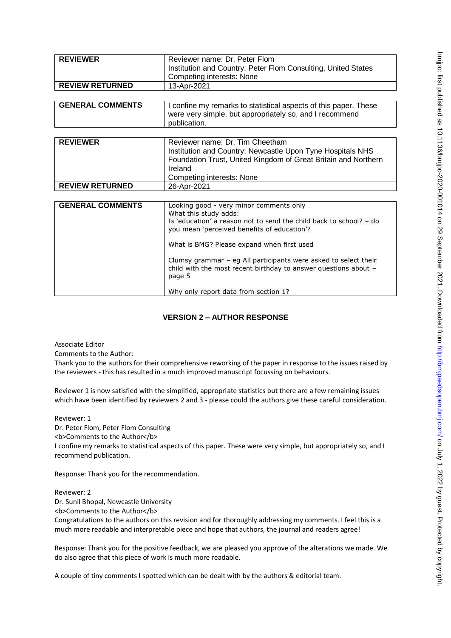| <b>REVIEWER</b>         | Reviewer name: Dr. Peter Flom                                                                                                                |
|-------------------------|----------------------------------------------------------------------------------------------------------------------------------------------|
|                         | Institution and Country: Peter Flom Consulting, United States                                                                                |
|                         | Competing interests: None                                                                                                                    |
| <b>REVIEW RETURNED</b>  | 13-Apr-2021                                                                                                                                  |
|                         |                                                                                                                                              |
| <b>GENERAL COMMENTS</b> | I confine my remarks to statistical aspects of this paper. These                                                                             |
|                         | were very simple, but appropriately so, and I recommend                                                                                      |
|                         | publication.                                                                                                                                 |
|                         |                                                                                                                                              |
| <b>REVIEWER</b>         | Reviewer name: Dr. Tim Cheetham                                                                                                              |
|                         | Institution and Country: Newcastle Upon Tyne Hospitals NHS                                                                                   |
|                         | Foundation Trust, United Kingdom of Great Britain and Northern                                                                               |
|                         | Ireland                                                                                                                                      |
|                         | Competing interests: None                                                                                                                    |
| <b>REVIEW RETURNED</b>  | 26-Apr-2021                                                                                                                                  |
|                         |                                                                                                                                              |
| <b>GENERAL COMMENTS</b> | Looking good - very minor comments only                                                                                                      |
|                         | What this study adds:                                                                                                                        |
|                         | Is 'education' a reason not to send the child back to school? - do                                                                           |
|                         | you mean 'perceived benefits of education'?                                                                                                  |
|                         | What is BMG? Please expand when first used                                                                                                   |
|                         | Clumsy grammar – eg All participants were asked to select their<br>child with the most recent birthday to answer questions about -<br>page 5 |
|                         |                                                                                                                                              |

# **VERSION 2 – AUTHOR RESPONSE**

Associate Editor

Comments to the Author:

Thank you to the authors for their comprehensive reworking of the paper in response to the issues raised by the reviewers - this has resulted in a much improved manuscript focussing on behaviours.

Reviewer 1 is now satisfied with the simplified, appropriate statistics but there are a few remaining issues which have been identified by reviewers 2 and 3 - please could the authors give these careful consideration.

Reviewer: 1

Dr. Peter Flom, Peter Flom Consulting

<b>Comments to the Author</b>

I confine my remarks to statistical aspects of this paper. These were very simple, but appropriately so, and I recommend publication.

Response: Thank you for the recommendation.

Reviewer: 2 Dr. Sunil Bhopal, Newcastle University <b>Comments to the Author</b>

Congratulations to the authors on this revision and for thoroughly addressing my comments. I feel this is a much more readable and interpretable piece and hope that authors, the journal and readers agree!

Response: Thank you for the positive feedback, we are pleased you approve of the alterations we made. We do also agree that this piece of work is much more readable.

A couple of tiny comments I spotted which can be dealt with by the authors & editorial team.